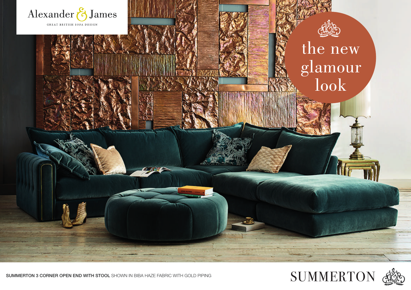